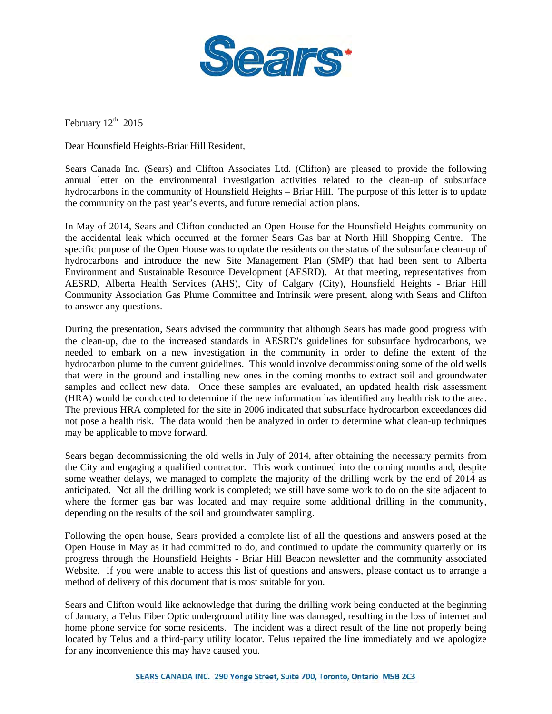

February  $12<sup>th</sup>$  2015

Dear Hounsfield Heights-Briar Hill Resident,

Sears Canada Inc. (Sears) and Clifton Associates Ltd. (Clifton) are pleased to provide the following annual letter on the environmental investigation activities related to the clean-up of subsurface hydrocarbons in the community of Hounsfield Heights – Briar Hill. The purpose of this letter is to update the community on the past year's events, and future remedial action plans.

In May of 2014, Sears and Clifton conducted an Open House for the Hounsfield Heights community on the accidental leak which occurred at the former Sears Gas bar at North Hill Shopping Centre. The specific purpose of the Open House was to update the residents on the status of the subsurface clean-up of hydrocarbons and introduce the new Site Management Plan (SMP) that had been sent to Alberta Environment and Sustainable Resource Development (AESRD). At that meeting, representatives from AESRD, Alberta Health Services (AHS), City of Calgary (City), Hounsfield Heights - Briar Hill Community Association Gas Plume Committee and Intrinsik were present, along with Sears and Clifton to answer any questions.

During the presentation, Sears advised the community that although Sears has made good progress with the clean-up, due to the increased standards in AESRD's guidelines for subsurface hydrocarbons, we needed to embark on a new investigation in the community in order to define the extent of the hydrocarbon plume to the current guidelines. This would involve decommissioning some of the old wells that were in the ground and installing new ones in the coming months to extract soil and groundwater samples and collect new data. Once these samples are evaluated, an updated health risk assessment (HRA) would be conducted to determine if the new information has identified any health risk to the area. The previous HRA completed for the site in 2006 indicated that subsurface hydrocarbon exceedances did not pose a health risk. The data would then be analyzed in order to determine what clean-up techniques may be applicable to move forward.

Sears began decommissioning the old wells in July of 2014, after obtaining the necessary permits from the City and engaging a qualified contractor. This work continued into the coming months and, despite some weather delays, we managed to complete the majority of the drilling work by the end of 2014 as anticipated. Not all the drilling work is completed; we still have some work to do on the site adjacent to where the former gas bar was located and may require some additional drilling in the community, depending on the results of the soil and groundwater sampling.

Following the open house, Sears provided a complete list of all the questions and answers posed at the Open House in May as it had committed to do, and continued to update the community quarterly on its progress through the Hounsfield Heights - Briar Hill Beacon newsletter and the community associated Website. If you were unable to access this list of questions and answers, please contact us to arrange a method of delivery of this document that is most suitable for you.

Sears and Clifton would like acknowledge that during the drilling work being conducted at the beginning of January, a Telus Fiber Optic underground utility line was damaged, resulting in the loss of internet and home phone service for some residents. The incident was a direct result of the line not properly being located by Telus and a third-party utility locator. Telus repaired the line immediately and we apologize for any inconvenience this may have caused you.